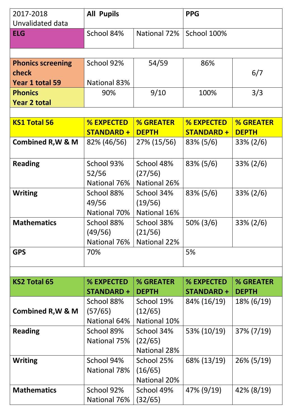| 2017-2018                    | <b>All Pupils</b>                     |                                  | <b>PPG</b>                            |                                  |
|------------------------------|---------------------------------------|----------------------------------|---------------------------------------|----------------------------------|
| Unvalidated data             |                                       |                                  |                                       |                                  |
| <b>ELG</b>                   | School 84%                            | National 72%                     | School 100%                           |                                  |
|                              |                                       |                                  |                                       |                                  |
|                              |                                       |                                  |                                       |                                  |
| <b>Phonics screening</b>     | School 92%                            | 54/59                            | 86%                                   |                                  |
| check                        |                                       |                                  |                                       | 6/7                              |
| Year 1 total 59              | <b>National 83%</b>                   |                                  |                                       |                                  |
| <b>Phonics</b>               | 90%                                   | 9/10                             | 100%                                  | 3/3                              |
| <b>Year 2 total</b>          |                                       |                                  |                                       |                                  |
|                              |                                       |                                  |                                       |                                  |
| <b>KS1 Total 56</b>          | <b>% EXPECTED</b><br><b>STANDARD+</b> | <b>% GREATER</b><br><b>DEPTH</b> | <b>% EXPECTED</b><br><b>STANDARD+</b> | <b>% GREATER</b><br><b>DEPTH</b> |
|                              |                                       |                                  |                                       |                                  |
| <b>Combined R, W &amp; M</b> | 82% (46/56)                           | 27% (15/56)                      | $83\% (5/6)$                          | $33\% (2/6)$                     |
| <b>Reading</b>               | School 93%                            | School 48%                       | $83\% (5/6)$                          | $33\% (2/6)$                     |
|                              | 52/56                                 | (27/56)                          |                                       |                                  |
|                              | National 76%                          | National 26%                     |                                       |                                  |
| <b>Writing</b>               | School 88%                            | School 34%                       | $83\% (5/6)$                          | $33\% (2/6)$                     |
|                              | 49/56                                 | (19/56)                          |                                       |                                  |
|                              | National 70%                          | National 16%                     |                                       |                                  |
| <b>Mathematics</b>           | School 88%                            | School 38%                       | $50\% (3/6)$                          | $33\% (2/6)$                     |
|                              | (49/56)                               | (21/56)                          |                                       |                                  |
|                              | National 76%                          | National 22%                     |                                       |                                  |
| <b>GPS</b>                   | 70%                                   |                                  | 5%                                    |                                  |
|                              |                                       |                                  |                                       |                                  |
|                              |                                       |                                  |                                       |                                  |
| <b>KS2 Total 65</b>          | % EXPECTED                            | % GREATER                        | % EXPECTED                            | % GREATER                        |
|                              | <b>STANDARD +</b>                     | <b>DEPTH</b>                     | <b>STANDARD+</b>                      | <b>DEPTH</b>                     |
|                              | School 88%                            | School 19%                       | 84% (16/19)                           | $18\% (6/19)$                    |
| <b>Combined R, W &amp; M</b> | (57/65)                               | (12/65)                          |                                       |                                  |
|                              | National 64%                          | National 10%                     |                                       |                                  |
| <b>Reading</b>               | School 89%                            | School 34%                       | 53% (10/19)                           | 37% (7/19)                       |
|                              | National 75%                          | (22/65)                          |                                       |                                  |
|                              |                                       | National 28%                     |                                       |                                  |
| <b>Writing</b>               | School 94%                            | School 25%                       | 68% (13/19)                           | $26\% (5/19)$                    |
|                              | National 78%                          | (16/65)                          |                                       |                                  |
|                              |                                       | National 20%                     |                                       |                                  |
| <b>Mathematics</b>           | School 92%                            | School 49%                       | 47% (9/19)                            | $42\% (8/19)$                    |
|                              | National 76%                          | (32/65)                          |                                       |                                  |